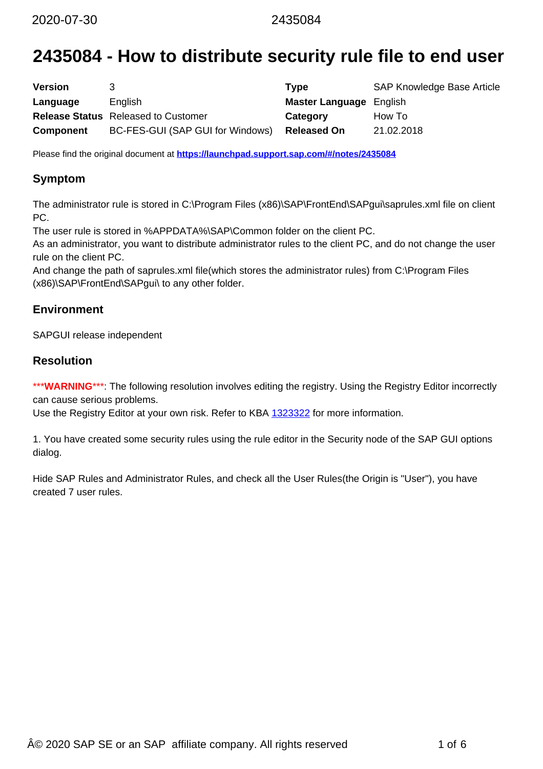# **2435084 - How to distribute security rule file to end user**

| <b>Version</b> |                                            | Type                           | <b>SAP Knowledge Base Article</b> |
|----------------|--------------------------------------------|--------------------------------|-----------------------------------|
| Language       | English                                    | <b>Master Language</b> English |                                   |
|                | <b>Release Status</b> Released to Customer | Category                       | How To                            |
| Component      | BC-FES-GUI (SAP GUI for Windows)           | <b>Released On</b>             | 21.02.2018                        |

Please find the original document at **<https://launchpad.support.sap.com/#/notes/2435084>**

## **Symptom**

The administrator rule is stored in C:\Program Files (x86)\SAP\FrontEnd\SAPgui\saprules.xml file on client PC.

The user rule is stored in %APPDATA%\SAP\Common folder on the client PC.

As an administrator, you want to distribute administrator rules to the client PC, and do not change the user rule on the client PC.

And change the path of saprules.xml file(which stores the administrator rules) from C:\Program Files (x86)\SAP\FrontEnd\SAPgui\ to any other folder.

### **Environment**

SAPGUI release independent

### **Resolution**

\*\*\***WARNING**\*\*\*: The following resolution involves editing the registry. Using the Registry Editor incorrectly can cause serious problems.

Use the Registry Editor at your own risk. Refer to KBA [1323322](https://launchpad.support.sap.com/#/notes/1323322) for more information.

1. You have created some security rules using the rule editor in the Security node of the SAP GUI options dialog.

Hide SAP Rules and Administrator Rules, and check all the User Rules(the Origin is "User"), you have created 7 user rules.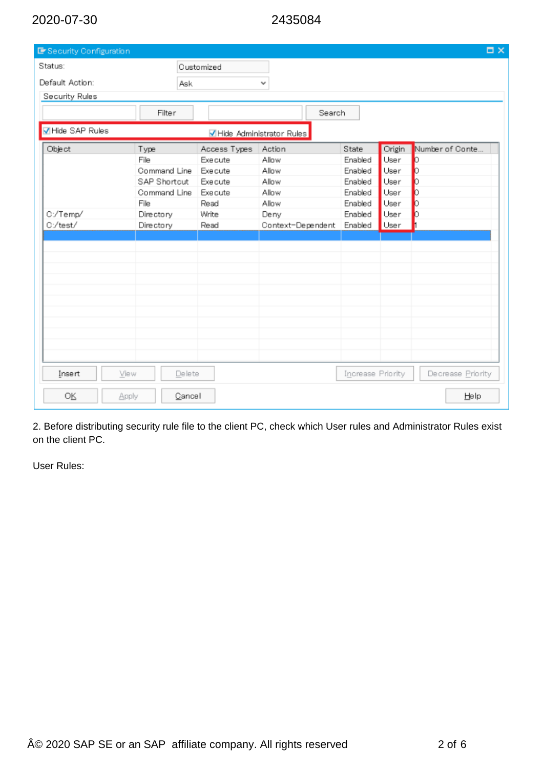| Er Security Configuration |              |                |                          |                   |        | $\Box$ $\times$   |
|---------------------------|--------------|----------------|--------------------------|-------------------|--------|-------------------|
| Status:                   |              | Customized     |                          |                   |        |                   |
| Default Action:           | <b>Ask</b>   |                | v                        |                   |        |                   |
| Security Rules            |              |                |                          |                   |        |                   |
|                           | Filter       |                | Search                   |                   |        |                   |
| MHide SAP Rules           |              |                | Hide Administrator Rules |                   |        |                   |
| Object                    | Type         | Access Types   | Action                   | State             | Origin | Number of Conte   |
|                           | File         | Exe cute       | Allow                    | Enabled           | User   | b                 |
|                           | Command Line | Exe cute       | Allow                    | Enabled           | User   | b                 |
|                           | SAP Shortcut | Exe cute       | Allow                    | Enabled           | User   | b                 |
|                           | Command Line | <b>Execute</b> | Allow                    | Enabled           | User   | b                 |
|                           | File         | Read           | Allow                    | Enabled           | User   | Ю                 |
| C:/Temp/                  | Directory    | Write          | Deny                     | Enabled           | User   | b                 |
| C:/test/                  | Directory    | Read           | Context-Dependent        | Enabled           | User   |                   |
|                           |              |                |                          |                   |        |                   |
|                           |              |                |                          |                   |        |                   |
|                           |              |                |                          |                   |        |                   |
|                           |              |                |                          |                   |        |                   |
|                           |              |                |                          |                   |        |                   |
|                           |              |                |                          |                   |        |                   |
|                           |              |                |                          |                   |        |                   |
|                           |              |                |                          |                   |        |                   |
|                           |              |                |                          |                   |        |                   |
|                           |              |                |                          |                   |        |                   |
|                           |              |                |                          |                   |        |                   |
|                           |              |                |                          |                   |        |                   |
| Insert<br>View            | Delete       |                |                          | Increase Priority |        | Decrease Priority |
| 0K<br>Apply               | Cancel       |                |                          |                   |        | Help              |

2. Before distributing security rule file to the client PC, check which User rules and Administrator Rules exist on the client PC.

User Rules: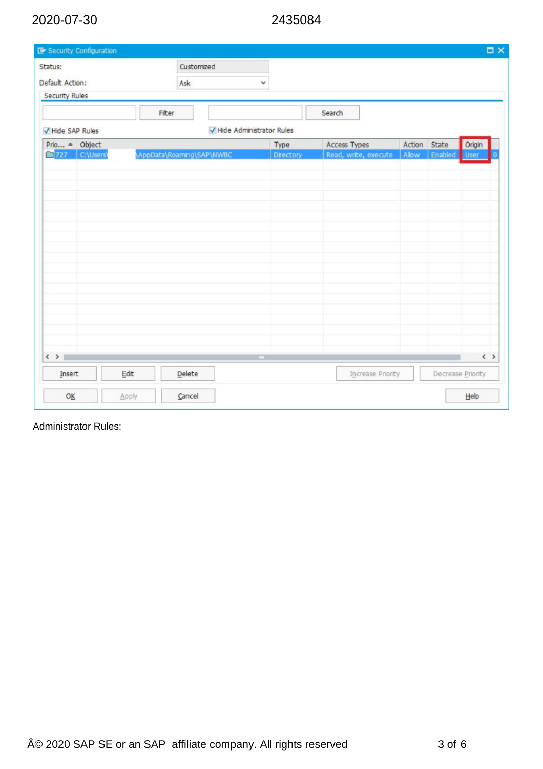| Status:                  |        | Customized                |                          |                      |        |                   |                         |
|--------------------------|--------|---------------------------|--------------------------|----------------------|--------|-------------------|-------------------------|
| Default Action:          |        | Ask                       | v                        |                      |        |                   |                         |
| <b>Security Rules</b>    |        |                           |                          |                      |        |                   |                         |
|                          | Filter |                           |                          | Search               |        |                   |                         |
| Hide SAP Rules           |        |                           | Hide Administrator Rules |                      |        |                   |                         |
| Prio <sup>a</sup> Object |        |                           | Type                     | Access Types         | Action | State             | Origin                  |
| 727 C:\Users\            |        | \AppData\Roaming\SAP\NWBC | Directory                | Read, write, execute | Allow  | Enabled           | <b>User</b>             |
|                          |        |                           |                          |                      |        |                   |                         |
|                          |        |                           |                          |                      |        |                   |                         |
|                          |        |                           |                          |                      |        |                   |                         |
|                          |        |                           |                          |                      |        |                   |                         |
|                          |        |                           |                          |                      |        |                   |                         |
|                          |        |                           |                          |                      |        |                   |                         |
|                          |        |                           |                          |                      |        |                   |                         |
|                          |        |                           |                          |                      |        |                   |                         |
|                          |        |                           |                          |                      |        |                   |                         |
|                          |        |                           |                          |                      |        |                   |                         |
|                          |        |                           |                          |                      |        |                   |                         |
|                          |        |                           |                          |                      |        |                   |                         |
|                          |        |                           |                          |                      |        |                   |                         |
|                          |        |                           |                          |                      |        |                   |                         |
| $\langle$ >              |        |                           | $\mathbf{m}$ .           |                      |        |                   | $\langle \quad \rangle$ |
|                          |        | Delete                    |                          | Increase Priority    |        | Decrease Priority |                         |
|                          |        |                           |                          |                      |        |                   |                         |
| Insert                   | Edit   |                           |                          |                      |        |                   |                         |

Administrator Rules: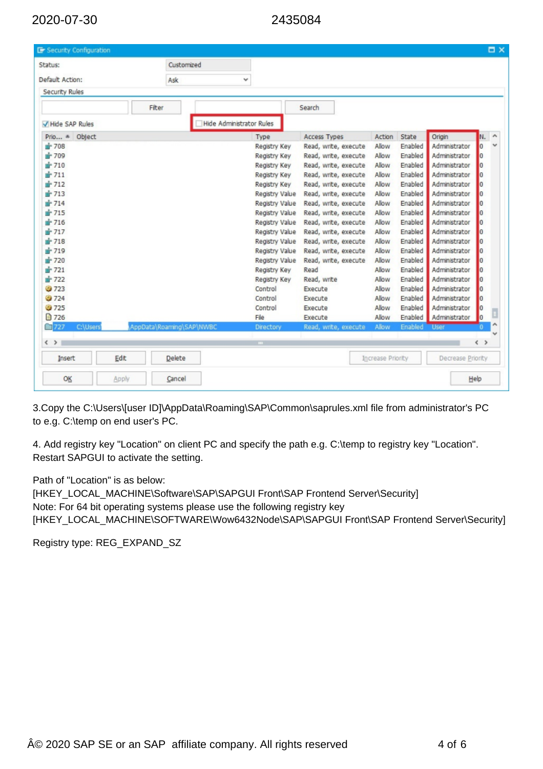| Status:                    |       | Customized               |                                 |                |                      |                   |         |                   |                                    |                     |
|----------------------------|-------|--------------------------|---------------------------------|----------------|----------------------|-------------------|---------|-------------------|------------------------------------|---------------------|
|                            |       |                          |                                 |                |                      |                   |         |                   |                                    |                     |
| Default Action:            |       | Ask                      | v                               |                |                      |                   |         |                   |                                    |                     |
| Security Rules             |       |                          |                                 |                |                      |                   |         |                   |                                    |                     |
|                            |       | Fiter                    |                                 |                | Search               |                   |         |                   |                                    |                     |
| Hide SAP Rules             |       |                          | <b>Hide Administrator Rules</b> |                |                      |                   |         |                   |                                    |                     |
| $Prior, \hat{a}$<br>Object |       |                          |                                 | Type           | Access Types         | Action            | State   | Origin            | N.                                 | $\hat{\phantom{a}}$ |
| m <sup>2</sup> 708         |       |                          |                                 | Registry Key   | Read, write, execute | Allow             | Enabled | Administrator     | $\overline{0}$                     |                     |
| m <sup>2</sup> 709         |       |                          |                                 | Registry Key   | Read, write, execute | Allow             | Enabled | Administrator     | $\overline{0}$                     |                     |
| m <sup>2</sup> 710         |       |                          |                                 | Registry Key   | Read, write, execute | Allow             | Enabled | Administrator     | $\overline{0}$                     |                     |
| $\mathbb{H}$ 711           |       |                          |                                 | Registry Key   | Read, write, execute | Allow             | Enabled | Administrator     | $\overline{0}$                     |                     |
| $m = 712$                  |       |                          |                                 | Registry Key   | Read, write, execute | Allow             | Enabled | Administrator     | $\overline{0}$                     |                     |
| m <sup>2</sup> 713         |       |                          |                                 | Registry Value | Read, write, execute | Allow             | Enabled | Administrator     | $\overline{0}$                     |                     |
| pr 714                     |       |                          |                                 | Registry Value | Read, write, execute | Allow             | Enabled | Administrator     | $\overline{0}$                     |                     |
| m <sup>2</sup> 715         |       |                          |                                 | Registry Value | Read, write, execute | Allow             | Enabled | Administrator     | $\overline{0}$                     |                     |
| p-716                      |       |                          |                                 | Registry Value | Read, write, execute | Allow             | Enabled | Administrator     | $\overline{0}$                     |                     |
| d <sup>*</sup> 717         |       |                          |                                 | Registry Value | Read, write, execute | Allow             | Enabled | Administrator     | O                                  |                     |
| pr 718                     |       |                          |                                 | Registry Value | Read, write, execute | Allow             | Enabled | Administrator     | $\overline{0}$                     |                     |
| ₫ 719                      |       |                          |                                 | Registry Value | Read, write, execute | Allow             | Enabled | Administrator     | $\overline{0}$                     |                     |
| pr 720                     |       |                          |                                 | Registry Value | Read, write, execute | Allow             | Enabled | Administrator     | o                                  |                     |
| $\mathbf{m}$ 721           |       |                          |                                 | Registry Key   | Read                 | Allow             | Enabled | Administrator     | $\overline{0}$                     |                     |
| ■ 722                      |       |                          |                                 | Registry Key   | Read, write          | Allow             | Enabled | Administrator     | $\overline{0}$                     |                     |
| <b>3723</b>                |       |                          |                                 | Control        | Execute              | Allow             | Enabled | Administrator     | $\overline{0}$                     |                     |
| 3724                       |       |                          |                                 | Control        | Execute              | Allow             | Enabled | Administrator     | $\overline{0}$                     |                     |
| @ 725                      |       |                          |                                 | Control        | Execute              | Allow             | Enabled | Administrator     | O                                  |                     |
| □ 726                      |       |                          |                                 | File           | Execute              | Allow             | Enabled | Administrator     | $\overline{0}$                     |                     |
| $\Box$ 727<br>C:\Users     |       | AppData\Roaming\SAP\NWBC |                                 | Directory      | Read, write, execute | Allow             | Enabled | User              | $\bf{0}$                           | ۸                   |
| $\langle$ $\rangle$        |       |                          |                                 |                |                      |                   |         |                   | $\left\langle \quad \right\rangle$ |                     |
| Insert                     | Edit  | Delete                   |                                 |                |                      | Increase Priority |         | Decrease Priority |                                    |                     |
| OK                         | Apply | Cancel                   |                                 |                |                      |                   |         |                   | Help                               |                     |

3.Copy the C:\Users\[user ID]\AppData\Roaming\SAP\Common\saprules.xml file from administrator's PC to e.g. C:\temp on end user's PC.

4. Add registry key "Location" on client PC and specify the path e.g. C:\temp to registry key "Location". Restart SAPGUI to activate the setting.

Path of "Location" is as below:

[HKEY\_LOCAL\_MACHINE\Software\SAP\SAPGUI Front\SAP Frontend Server\Security] Note: For 64 bit operating systems please use the following registry key [HKEY\_LOCAL\_MACHINE\SOFTWARE\Wow6432Node\SAP\SAPGUI Front\SAP Frontend Server\Security]

Registry type: REG\_EXPAND\_SZ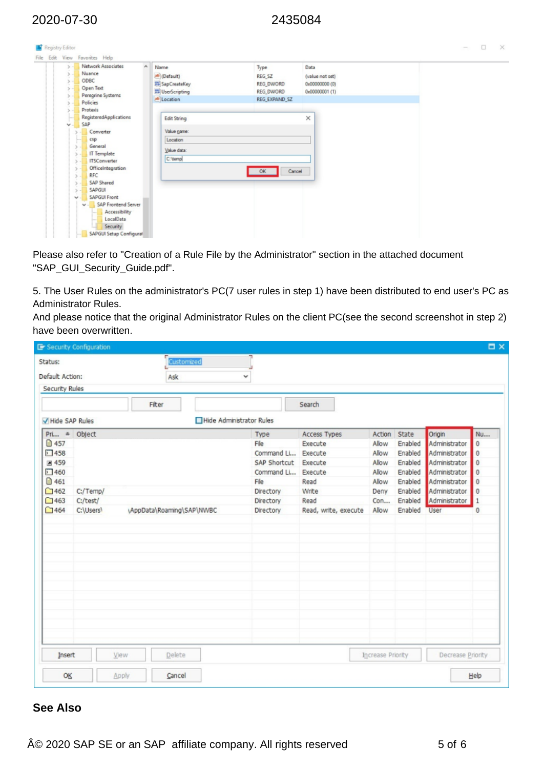File Edit View Favorites Help

 $\bar{\rm s}$  $5 - 000C$ 

Network Associates

Nuance

 $\overline{\phantom{a}}$ 

Registry Editor

| ab (Default)           |               |                 |  |  |
|------------------------|---------------|-----------------|--|--|
|                        | REG_SZ        | (value not set) |  |  |
| <b>IN SapCreateKey</b> | REG_DWORD     | 0x00000000 (0)  |  |  |
| 説 UserScripting        | REG_DWORD     | 0x00000001 (1)  |  |  |
| ab Location            | REG_EXPAND_SZ |                 |  |  |

| Open Text<br>ς.<br>Peregrine Systems | 説 UserScripting    | REG_DWORD     | 0x00000001 (1) |
|--------------------------------------|--------------------|---------------|----------------|
| Policies                             | ab Location        | REG_EXPAND_SZ |                |
| Protexis                             |                    |               |                |
| RegisteredApplications               | <b>Edit String</b> |               | ×              |
| SAP<br>$\mathbf{v}$ .                |                    |               |                |
| Converter                            | Value game:        |               |                |
| csp                                  | Location           |               |                |
| General                              | Value data:        |               |                |
| <b>IT Template</b><br>3. u           |                    |               |                |
| <b>ITSConverter</b>                  | C:'demp            |               |                |
| OfficeIntegration                    |                    | OK            | Cancel         |
| RFC                                  |                    |               |                |
| SAP Shared                           |                    |               |                |
| SAPGUI                               |                    |               |                |
| <b>SAPGUI Front</b><br>$\sim$        |                    |               |                |
| SAP Frontend Server<br>$\mathbf{v}$  |                    |               |                |
| Accessibility                        |                    |               |                |
| LocalData                            |                    |               |                |
| Security                             |                    |               |                |
| SAPGUI Setup Configurat              |                    |               |                |

Please also refer to "Creation of a Rule File by the Administrator" section in the attached document "SAP\_GUI\_Security\_Guide.pdf".

5. The User Rules on the administrator's PC(7 user rules in step 1) have been distributed to end user's PC as Administrator Rules.

And please notice that the original Administrator Rules on the client PC(see the second screenshot in step 2) have been overwritten.

|                 | <b>E</b> Security Configuration |       |                           |                          |                    |                      |                   |         |                   | $\Box$ $\times$ |
|-----------------|---------------------------------|-------|---------------------------|--------------------------|--------------------|----------------------|-------------------|---------|-------------------|-----------------|
| Status:         |                                 |       | Customized                |                          |                    |                      |                   |         |                   |                 |
| Default Action: |                                 |       | Ask                       | v                        |                    |                      |                   |         |                   |                 |
| Security Rules  |                                 |       |                           |                          |                    |                      |                   |         |                   |                 |
|                 |                                 | Fiter |                           |                          |                    | Search               |                   |         |                   |                 |
| Hide SAP Rules  |                                 |       |                           | Hide Administrator Rules |                    |                      |                   |         |                   |                 |
| Pri a Object    |                                 |       |                           |                          | Type               | Access Types         | Action            | State   | Origin            | Nu              |
| ■ 457           |                                 |       |                           |                          | File               | Execute              | Allow             | Enabled | Administrator     | 0               |
| 51458           |                                 |       |                           |                          | Command Li         | Execute              | Allow             | Enabled | Administrator     | 0               |
| <b>a</b> 459    |                                 |       |                           |                          | SAP Shortcut       | Execute              | Allow             | Enabled | Administrator     | $\bf{0}$        |
| 51460           |                                 |       |                           |                          | Command Li Execute |                      | Allow             | Enabled | Administrator     | $\bf 0$         |
| □ 461           |                                 |       |                           |                          | File               | Read                 | Allow             | Enabled | Administrator     | 0               |
| □462            | C:/Temp/                        |       |                           |                          | Directory          | Write                | Deny              | Enabled | Administrator     | 0               |
| $\square$ 463   | C:/test/                        |       |                           |                          | Directory          | Read                 | Con               | Enabled | Administrator     | $\mathbf{1}$    |
| $\square$ 464   | C:\Users\                       |       | \AppData\Roaming\SAP\NWBC |                          | Directory          | Read, write, execute | Allow             | Enabled | User              | $\bf{0}$        |
|                 |                                 |       |                           |                          |                    |                      |                   |         |                   |                 |
|                 |                                 |       |                           |                          |                    |                      |                   |         |                   |                 |
| Insert          |                                 | View  | Delete                    |                          |                    |                      | Increase Priority |         | Decrease Priority |                 |
| OĶ              |                                 | Apply | Cancel                    |                          |                    |                      |                   |         |                   | Help            |

### **See Also**